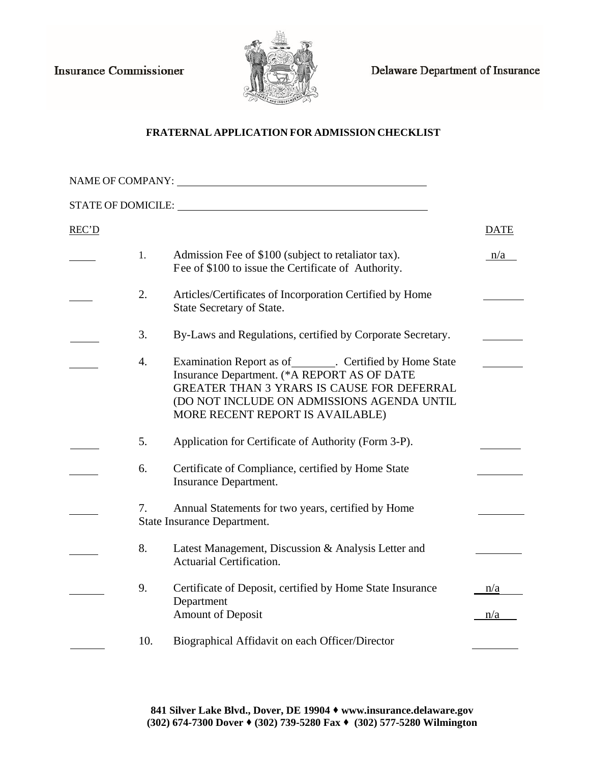**Insurance Commissioner** 



Delaware Department of Insurance

## **FRATERNAL APPLICATION FOR ADMISSION CHECKLIST**

| NAME OF COMPANY:   |     |                                                                                                                                                                                                                                                  |             |
|--------------------|-----|--------------------------------------------------------------------------------------------------------------------------------------------------------------------------------------------------------------------------------------------------|-------------|
| STATE OF DOMICILE: |     |                                                                                                                                                                                                                                                  |             |
| REC'D              |     |                                                                                                                                                                                                                                                  | <b>DATE</b> |
|                    | 1.  | Admission Fee of \$100 (subject to retaliator tax).<br>Fee of \$100 to issue the Certificate of Authority.                                                                                                                                       | n/a         |
|                    | 2.  | Articles/Certificates of Incorporation Certified by Home<br>State Secretary of State.                                                                                                                                                            |             |
|                    | 3.  | By-Laws and Regulations, certified by Corporate Secretary.                                                                                                                                                                                       |             |
|                    | 4.  | Examination Report as of_________. Certified by Home State<br>Insurance Department. (*A REPORT AS OF DATE<br><b>GREATER THAN 3 YRARS IS CAUSE FOR DEFERRAL</b><br>(DO NOT INCLUDE ON ADMISSIONS AGENDA UNTIL<br>MORE RECENT REPORT IS AVAILABLE) |             |
|                    | 5.  | Application for Certificate of Authority (Form 3-P).                                                                                                                                                                                             |             |
|                    | 6.  | Certificate of Compliance, certified by Home State<br>Insurance Department.                                                                                                                                                                      |             |
|                    | 7.  | Annual Statements for two years, certified by Home<br>State Insurance Department.                                                                                                                                                                |             |
|                    | 8.  | Latest Management, Discussion & Analysis Letter and<br>Actuarial Certification.                                                                                                                                                                  |             |
|                    | 9.  | Certificate of Deposit, certified by Home State Insurance<br>Department<br>Amount of Deposit                                                                                                                                                     | n/a<br>n/a  |
|                    | 10. | Biographical Affidavit on each Officer/Director                                                                                                                                                                                                  |             |